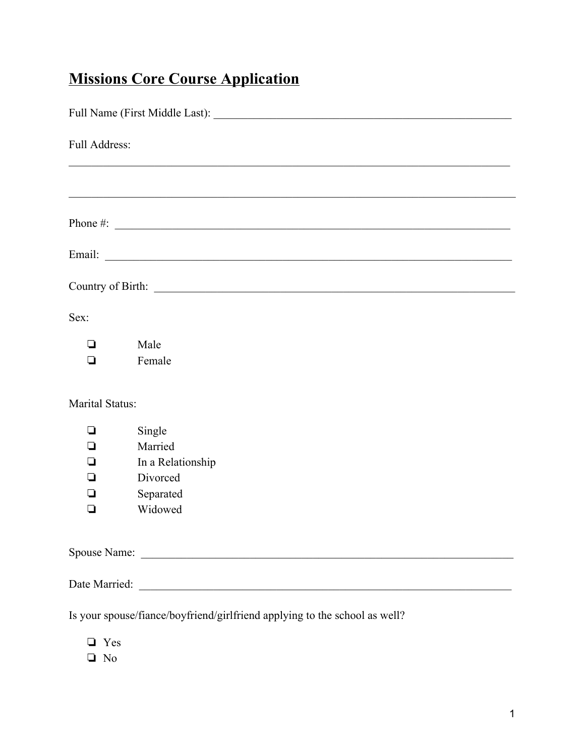## **Missions Core Course Application**

| Full Address:                                                              |                                                                            |  |
|----------------------------------------------------------------------------|----------------------------------------------------------------------------|--|
|                                                                            |                                                                            |  |
|                                                                            | Phone $\#$ :                                                               |  |
|                                                                            |                                                                            |  |
|                                                                            |                                                                            |  |
| Sex:                                                                       |                                                                            |  |
| $\Box$<br>◘                                                                | Male<br>Female                                                             |  |
| Marital Status:                                                            |                                                                            |  |
| ❏<br>⊔<br>◘<br>◘<br>⊔                                                      | Single<br>Married<br>In a Relationship<br>Divorced<br>Separated<br>Widowed |  |
|                                                                            |                                                                            |  |
|                                                                            |                                                                            |  |
| Is your spouse/fiance/boyfriend/girlfriend applying to the school as well? |                                                                            |  |

- ❏ Yes
- ❏ No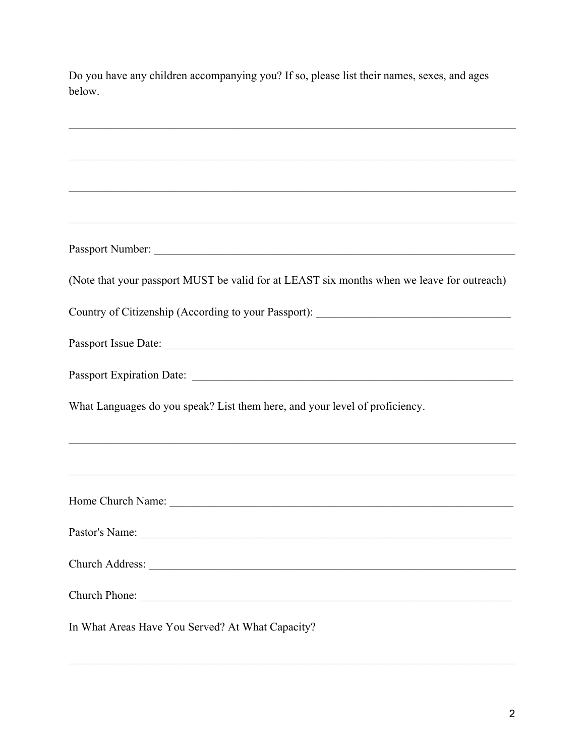| below.                                                                                                                                                                 |
|------------------------------------------------------------------------------------------------------------------------------------------------------------------------|
|                                                                                                                                                                        |
| <u> 1999 - Johann John Stone, Amerikaansk politiker (d. 1999)</u>                                                                                                      |
|                                                                                                                                                                        |
|                                                                                                                                                                        |
| (Note that your passport MUST be valid for at LEAST six months when we leave for outreach)                                                                             |
| Country of Citizenship (According to your Passport): ____________________________                                                                                      |
|                                                                                                                                                                        |
|                                                                                                                                                                        |
| What Languages do you speak? List them here, and your level of proficiency.                                                                                            |
| ,我们也不能在这里的人,我们也不能在这里的人,我们也不能在这里的人,我们也不能在这里的人,我们也不能在这里的人,我们也不能在这里的人,我们也不能在这里的人,我们也<br>,我们也不能在这里的人,我们也不能在这里的人,我们也不能在这里的人,我们也不能在这里的人,我们也不能在这里的人,我们也不能在这里的人,我们也不能在这里的人,我们也 |
| Home Church Name:                                                                                                                                                      |
| Pastor's Name:                                                                                                                                                         |
|                                                                                                                                                                        |
|                                                                                                                                                                        |
| In What Areas Have You Served? At What Capacity?                                                                                                                       |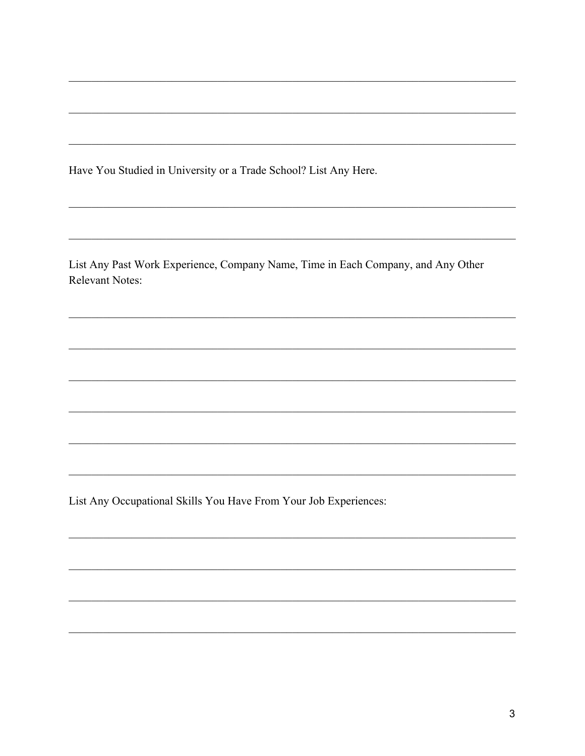Have You Studied in University or a Trade School? List Any Here.

List Any Past Work Experience, Company Name, Time in Each Company, and Any Other Relevant Notes:

List Any Occupational Skills You Have From Your Job Experiences: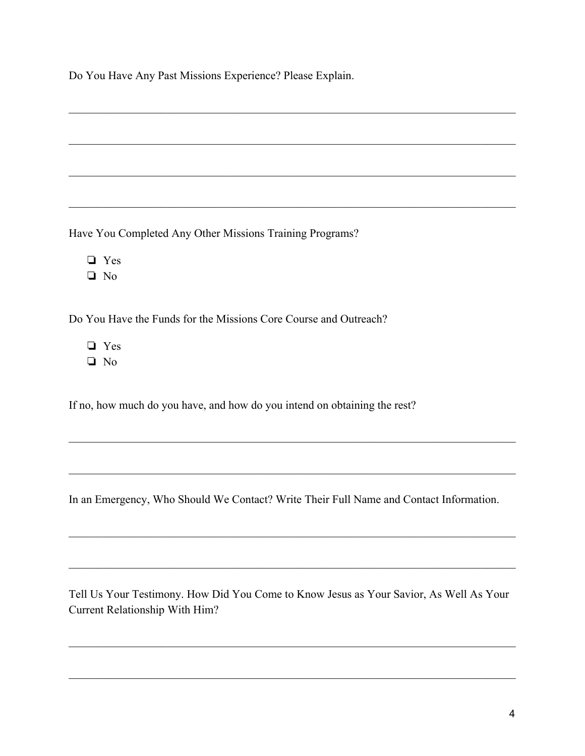Do You Have Any Past Missions Experience? Please Explain.

Have You Completed Any Other Missions Training Programs?

❏ Yes

❏ No

Do You Have the Funds for the Missions Core Course and Outreach?

❏ Yes

❏ No

If no, how much do you have, and how do you intend on obtaining the rest?

In an Emergency, Who Should We Contact? Write Their Full Name and Contact Information.

 $\mathcal{L}_\mathcal{L} = \{ \mathcal{L}_\mathcal{L} = \{ \mathcal{L}_\mathcal{L} = \{ \mathcal{L}_\mathcal{L} = \{ \mathcal{L}_\mathcal{L} = \{ \mathcal{L}_\mathcal{L} = \{ \mathcal{L}_\mathcal{L} = \{ \mathcal{L}_\mathcal{L} = \{ \mathcal{L}_\mathcal{L} = \{ \mathcal{L}_\mathcal{L} = \{ \mathcal{L}_\mathcal{L} = \{ \mathcal{L}_\mathcal{L} = \{ \mathcal{L}_\mathcal{L} = \{ \mathcal{L}_\mathcal{L} = \{ \mathcal{L}_\mathcal{$ 

 $\mathcal{L}_\mathcal{L} = \{ \mathcal{L}_\mathcal{L} = \{ \mathcal{L}_\mathcal{L} = \{ \mathcal{L}_\mathcal{L} = \{ \mathcal{L}_\mathcal{L} = \{ \mathcal{L}_\mathcal{L} = \{ \mathcal{L}_\mathcal{L} = \{ \mathcal{L}_\mathcal{L} = \{ \mathcal{L}_\mathcal{L} = \{ \mathcal{L}_\mathcal{L} = \{ \mathcal{L}_\mathcal{L} = \{ \mathcal{L}_\mathcal{L} = \{ \mathcal{L}_\mathcal{L} = \{ \mathcal{L}_\mathcal{L} = \{ \mathcal{L}_\mathcal{$ 

 $\mathcal{L}_\mathcal{L} = \{ \mathcal{L}_\mathcal{L} = \{ \mathcal{L}_\mathcal{L} = \{ \mathcal{L}_\mathcal{L} = \{ \mathcal{L}_\mathcal{L} = \{ \mathcal{L}_\mathcal{L} = \{ \mathcal{L}_\mathcal{L} = \{ \mathcal{L}_\mathcal{L} = \{ \mathcal{L}_\mathcal{L} = \{ \mathcal{L}_\mathcal{L} = \{ \mathcal{L}_\mathcal{L} = \{ \mathcal{L}_\mathcal{L} = \{ \mathcal{L}_\mathcal{L} = \{ \mathcal{L}_\mathcal{L} = \{ \mathcal{L}_\mathcal{$ 

 $\mathcal{L}_\mathcal{L} = \{ \mathcal{L}_\mathcal{L} = \{ \mathcal{L}_\mathcal{L} = \{ \mathcal{L}_\mathcal{L} = \{ \mathcal{L}_\mathcal{L} = \{ \mathcal{L}_\mathcal{L} = \{ \mathcal{L}_\mathcal{L} = \{ \mathcal{L}_\mathcal{L} = \{ \mathcal{L}_\mathcal{L} = \{ \mathcal{L}_\mathcal{L} = \{ \mathcal{L}_\mathcal{L} = \{ \mathcal{L}_\mathcal{L} = \{ \mathcal{L}_\mathcal{L} = \{ \mathcal{L}_\mathcal{L} = \{ \mathcal{L}_\mathcal{$ 

 $\mathcal{L}_\mathcal{L} = \{ \mathcal{L}_\mathcal{L} = \{ \mathcal{L}_\mathcal{L} = \{ \mathcal{L}_\mathcal{L} = \{ \mathcal{L}_\mathcal{L} = \{ \mathcal{L}_\mathcal{L} = \{ \mathcal{L}_\mathcal{L} = \{ \mathcal{L}_\mathcal{L} = \{ \mathcal{L}_\mathcal{L} = \{ \mathcal{L}_\mathcal{L} = \{ \mathcal{L}_\mathcal{L} = \{ \mathcal{L}_\mathcal{L} = \{ \mathcal{L}_\mathcal{L} = \{ \mathcal{L}_\mathcal{L} = \{ \mathcal{L}_\mathcal{$ 

 $\mathcal{L}_\mathcal{L} = \{ \mathcal{L}_\mathcal{L} = \{ \mathcal{L}_\mathcal{L} = \{ \mathcal{L}_\mathcal{L} = \{ \mathcal{L}_\mathcal{L} = \{ \mathcal{L}_\mathcal{L} = \{ \mathcal{L}_\mathcal{L} = \{ \mathcal{L}_\mathcal{L} = \{ \mathcal{L}_\mathcal{L} = \{ \mathcal{L}_\mathcal{L} = \{ \mathcal{L}_\mathcal{L} = \{ \mathcal{L}_\mathcal{L} = \{ \mathcal{L}_\mathcal{L} = \{ \mathcal{L}_\mathcal{L} = \{ \mathcal{L}_\mathcal{$ 

 $\mathcal{L}_\mathcal{L} = \{ \mathcal{L}_\mathcal{L} = \{ \mathcal{L}_\mathcal{L} = \{ \mathcal{L}_\mathcal{L} = \{ \mathcal{L}_\mathcal{L} = \{ \mathcal{L}_\mathcal{L} = \{ \mathcal{L}_\mathcal{L} = \{ \mathcal{L}_\mathcal{L} = \{ \mathcal{L}_\mathcal{L} = \{ \mathcal{L}_\mathcal{L} = \{ \mathcal{L}_\mathcal{L} = \{ \mathcal{L}_\mathcal{L} = \{ \mathcal{L}_\mathcal{L} = \{ \mathcal{L}_\mathcal{L} = \{ \mathcal{L}_\mathcal{$ 

 $\mathcal{L}_\mathcal{L} = \{ \mathcal{L}_\mathcal{L} = \{ \mathcal{L}_\mathcal{L} = \{ \mathcal{L}_\mathcal{L} = \{ \mathcal{L}_\mathcal{L} = \{ \mathcal{L}_\mathcal{L} = \{ \mathcal{L}_\mathcal{L} = \{ \mathcal{L}_\mathcal{L} = \{ \mathcal{L}_\mathcal{L} = \{ \mathcal{L}_\mathcal{L} = \{ \mathcal{L}_\mathcal{L} = \{ \mathcal{L}_\mathcal{L} = \{ \mathcal{L}_\mathcal{L} = \{ \mathcal{L}_\mathcal{L} = \{ \mathcal{L}_\mathcal{$ 

Tell Us Your Testimony. How Did You Come to Know Jesus as Your Savior, As Well As Your Current Relationship With Him?

 $\mathcal{L}_\mathcal{L} = \{ \mathcal{L}_\mathcal{L} = \{ \mathcal{L}_\mathcal{L} = \{ \mathcal{L}_\mathcal{L} = \{ \mathcal{L}_\mathcal{L} = \{ \mathcal{L}_\mathcal{L} = \{ \mathcal{L}_\mathcal{L} = \{ \mathcal{L}_\mathcal{L} = \{ \mathcal{L}_\mathcal{L} = \{ \mathcal{L}_\mathcal{L} = \{ \mathcal{L}_\mathcal{L} = \{ \mathcal{L}_\mathcal{L} = \{ \mathcal{L}_\mathcal{L} = \{ \mathcal{L}_\mathcal{L} = \{ \mathcal{L}_\mathcal{$ 

 $\mathcal{L}_\mathcal{L} = \{ \mathcal{L}_\mathcal{L} = \{ \mathcal{L}_\mathcal{L} = \{ \mathcal{L}_\mathcal{L} = \{ \mathcal{L}_\mathcal{L} = \{ \mathcal{L}_\mathcal{L} = \{ \mathcal{L}_\mathcal{L} = \{ \mathcal{L}_\mathcal{L} = \{ \mathcal{L}_\mathcal{L} = \{ \mathcal{L}_\mathcal{L} = \{ \mathcal{L}_\mathcal{L} = \{ \mathcal{L}_\mathcal{L} = \{ \mathcal{L}_\mathcal{L} = \{ \mathcal{L}_\mathcal{L} = \{ \mathcal{L}_\mathcal{$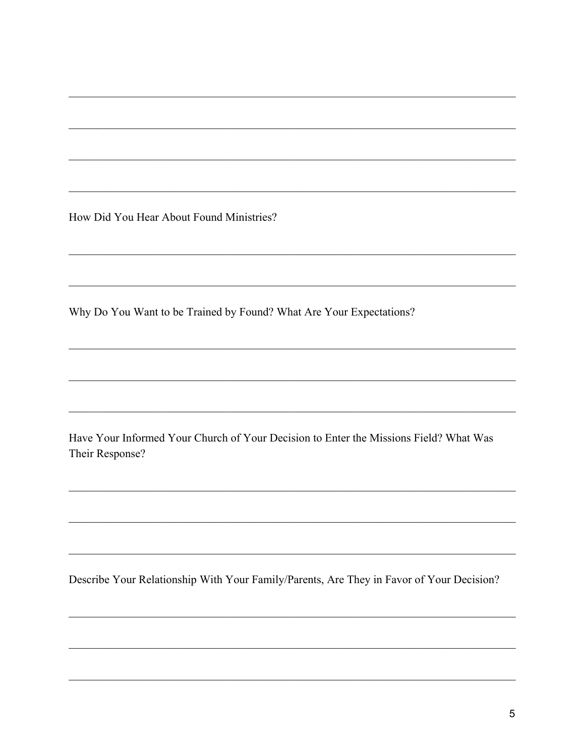How Did You Hear About Found Ministries?

Why Do You Want to be Trained by Found? What Are Your Expectations?

Have Your Informed Your Church of Your Decision to Enter the Missions Field? What Was Their Response?

Describe Your Relationship With Your Family/Parents, Are They in Favor of Your Decision?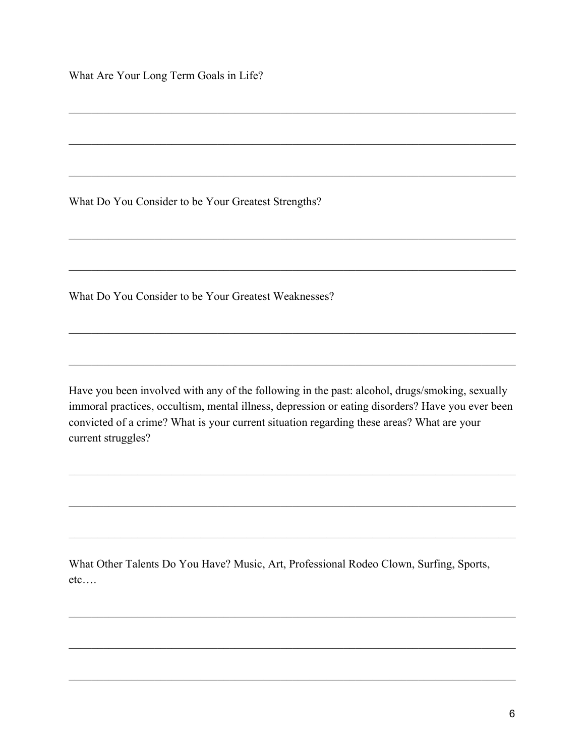What Are Your Long Term Goals in Life?

What Do You Consider to be Your Greatest Strengths?

What Do You Consider to be Your Greatest Weaknesses?

Have you been involved with any of the following in the past: alcohol, drugs/smoking, sexually immoral practices, occultism, mental illness, depression or eating disorders? Have you ever been convicted of a crime? What is your current situation regarding these areas? What are your current struggles?

What Other Talents Do You Have? Music, Art, Professional Rodeo Clown, Surfing, Sports,  $etc$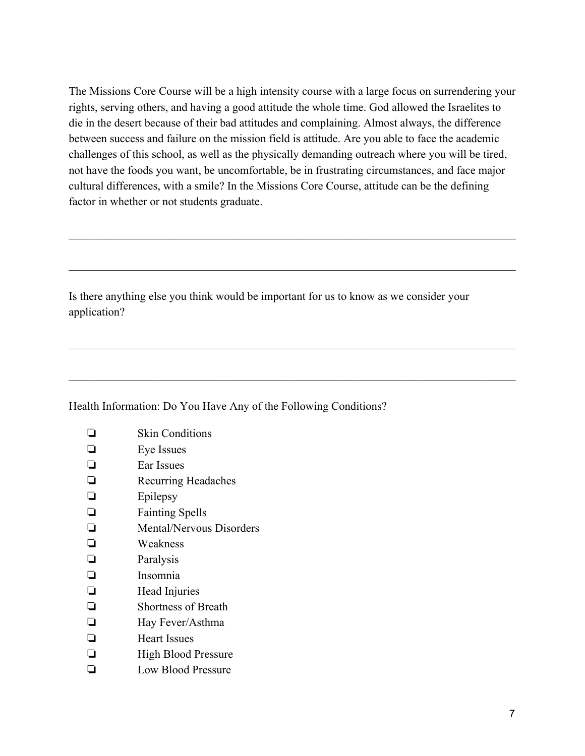The Missions Core Course will be a high intensity course with a large focus on surrendering your rights, serving others, and having a good attitude the whole time. God allowed the Israelites to die in the desert because of their bad attitudes and complaining. Almost always, the difference between success and failure on the mission field is attitude. Are you able to face the academic challenges of this school, as well as the physically demanding outreach where you will be tired, not have the foods you want, be uncomfortable, be in frustrating circumstances, and face major cultural differences, with a smile? In the Missions Core Course, attitude can be the defining factor in whether or not students graduate.

 $\mathcal{L}_\mathcal{L} = \{ \mathcal{L}_\mathcal{L} = \{ \mathcal{L}_\mathcal{L} = \{ \mathcal{L}_\mathcal{L} = \{ \mathcal{L}_\mathcal{L} = \{ \mathcal{L}_\mathcal{L} = \{ \mathcal{L}_\mathcal{L} = \{ \mathcal{L}_\mathcal{L} = \{ \mathcal{L}_\mathcal{L} = \{ \mathcal{L}_\mathcal{L} = \{ \mathcal{L}_\mathcal{L} = \{ \mathcal{L}_\mathcal{L} = \{ \mathcal{L}_\mathcal{L} = \{ \mathcal{L}_\mathcal{L} = \{ \mathcal{L}_\mathcal{$ 

 $\mathcal{L}_\mathcal{L} = \{ \mathcal{L}_\mathcal{L} = \{ \mathcal{L}_\mathcal{L} = \{ \mathcal{L}_\mathcal{L} = \{ \mathcal{L}_\mathcal{L} = \{ \mathcal{L}_\mathcal{L} = \{ \mathcal{L}_\mathcal{L} = \{ \mathcal{L}_\mathcal{L} = \{ \mathcal{L}_\mathcal{L} = \{ \mathcal{L}_\mathcal{L} = \{ \mathcal{L}_\mathcal{L} = \{ \mathcal{L}_\mathcal{L} = \{ \mathcal{L}_\mathcal{L} = \{ \mathcal{L}_\mathcal{L} = \{ \mathcal{L}_\mathcal{$ 

 $\mathcal{L}_\mathcal{L} = \{ \mathcal{L}_\mathcal{L} = \{ \mathcal{L}_\mathcal{L} = \{ \mathcal{L}_\mathcal{L} = \{ \mathcal{L}_\mathcal{L} = \{ \mathcal{L}_\mathcal{L} = \{ \mathcal{L}_\mathcal{L} = \{ \mathcal{L}_\mathcal{L} = \{ \mathcal{L}_\mathcal{L} = \{ \mathcal{L}_\mathcal{L} = \{ \mathcal{L}_\mathcal{L} = \{ \mathcal{L}_\mathcal{L} = \{ \mathcal{L}_\mathcal{L} = \{ \mathcal{L}_\mathcal{L} = \{ \mathcal{L}_\mathcal{$ 

 $\mathcal{L}_\mathcal{L} = \{ \mathcal{L}_\mathcal{L} = \{ \mathcal{L}_\mathcal{L} = \{ \mathcal{L}_\mathcal{L} = \{ \mathcal{L}_\mathcal{L} = \{ \mathcal{L}_\mathcal{L} = \{ \mathcal{L}_\mathcal{L} = \{ \mathcal{L}_\mathcal{L} = \{ \mathcal{L}_\mathcal{L} = \{ \mathcal{L}_\mathcal{L} = \{ \mathcal{L}_\mathcal{L} = \{ \mathcal{L}_\mathcal{L} = \{ \mathcal{L}_\mathcal{L} = \{ \mathcal{L}_\mathcal{L} = \{ \mathcal{L}_\mathcal{$ 

Is there anything else you think would be important for us to know as we consider your application?

## Health Information: Do You Have Any of the Following Conditions?

|   | <b>Skin Conditions</b>     |
|---|----------------------------|
| ப | Eye Issues                 |
| ப | Ear Issues                 |
| ⊔ | <b>Recurring Headaches</b> |
|   | Epilepsy                   |

- ❏ Fainting Spells
- ❏ Mental/Nervous Disorders
- ❏ Weakness
- ❏ Paralysis
- ❏ Insomnia
- ❏ Head Injuries
- ❏ Shortness of Breath
- ❏ Hay Fever/Asthma
- ❏ Heart Issues
- ❏ High Blood Pressure
- ❏ Low Blood Pressure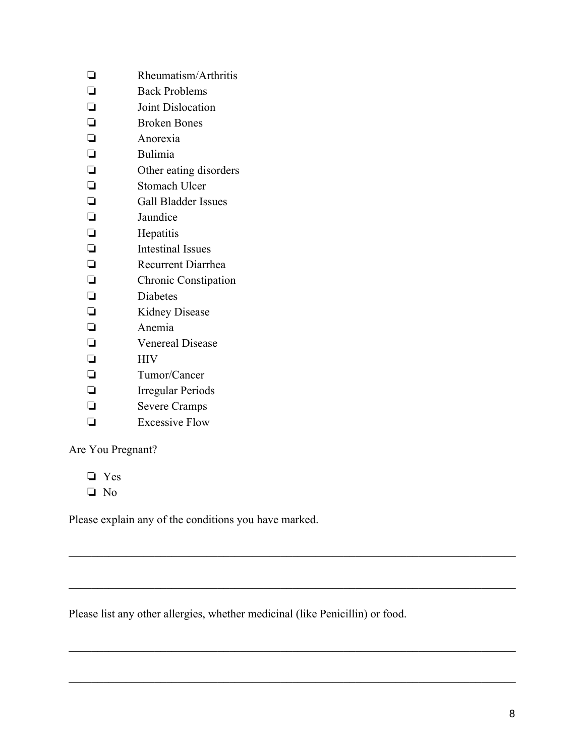| ❏      | Rheumatism/Arthritis        |
|--------|-----------------------------|
| $\Box$ | <b>Back Problems</b>        |
| $\Box$ | Joint Dislocation           |
| $\Box$ | <b>Broken Bones</b>         |
| $\Box$ | Anorexia                    |
| ❏      | Bulimia                     |
| $\Box$ | Other eating disorders      |
| $\Box$ | <b>Stomach Ulcer</b>        |
| $\Box$ | <b>Gall Bladder Issues</b>  |
| $\Box$ | Jaundice                    |
| $\Box$ | Hepatitis                   |
| $\Box$ | <b>Intestinal Issues</b>    |
| $\Box$ | <b>Recurrent Diarrhea</b>   |
| $\Box$ | <b>Chronic Constipation</b> |
| $\Box$ | <b>Diabetes</b>             |
| $\Box$ | <b>Kidney Disease</b>       |
| $\Box$ | Anemia                      |
| $\Box$ | <b>Venereal Disease</b>     |
| $\Box$ | <b>HIV</b>                  |
| $\Box$ | Tumor/Cancer                |
| $\Box$ | <b>Irregular Periods</b>    |
| $\Box$ | <b>Severe Cramps</b>        |
| ◻      | <b>Excessive Flow</b>       |
|        |                             |

Are You Pregnant?

❏ Yes

❏ No

Please explain any of the conditions you have marked.

Please list any other allergies, whether medicinal (like Penicillin) or food.

 $\mathcal{L}_\mathcal{L} = \{ \mathcal{L}_\mathcal{L} = \{ \mathcal{L}_\mathcal{L} = \{ \mathcal{L}_\mathcal{L} = \{ \mathcal{L}_\mathcal{L} = \{ \mathcal{L}_\mathcal{L} = \{ \mathcal{L}_\mathcal{L} = \{ \mathcal{L}_\mathcal{L} = \{ \mathcal{L}_\mathcal{L} = \{ \mathcal{L}_\mathcal{L} = \{ \mathcal{L}_\mathcal{L} = \{ \mathcal{L}_\mathcal{L} = \{ \mathcal{L}_\mathcal{L} = \{ \mathcal{L}_\mathcal{L} = \{ \mathcal{L}_\mathcal{$ 

 $\mathcal{L}_\mathcal{L} = \{ \mathcal{L}_\mathcal{L} = \{ \mathcal{L}_\mathcal{L} = \{ \mathcal{L}_\mathcal{L} = \{ \mathcal{L}_\mathcal{L} = \{ \mathcal{L}_\mathcal{L} = \{ \mathcal{L}_\mathcal{L} = \{ \mathcal{L}_\mathcal{L} = \{ \mathcal{L}_\mathcal{L} = \{ \mathcal{L}_\mathcal{L} = \{ \mathcal{L}_\mathcal{L} = \{ \mathcal{L}_\mathcal{L} = \{ \mathcal{L}_\mathcal{L} = \{ \mathcal{L}_\mathcal{L} = \{ \mathcal{L}_\mathcal{$ 

 $\mathcal{L}_\mathcal{L} = \{ \mathcal{L}_\mathcal{L} = \{ \mathcal{L}_\mathcal{L} = \{ \mathcal{L}_\mathcal{L} = \{ \mathcal{L}_\mathcal{L} = \{ \mathcal{L}_\mathcal{L} = \{ \mathcal{L}_\mathcal{L} = \{ \mathcal{L}_\mathcal{L} = \{ \mathcal{L}_\mathcal{L} = \{ \mathcal{L}_\mathcal{L} = \{ \mathcal{L}_\mathcal{L} = \{ \mathcal{L}_\mathcal{L} = \{ \mathcal{L}_\mathcal{L} = \{ \mathcal{L}_\mathcal{L} = \{ \mathcal{L}_\mathcal{$ 

 $\mathcal{L}_\mathcal{L} = \{ \mathcal{L}_\mathcal{L} = \{ \mathcal{L}_\mathcal{L} = \{ \mathcal{L}_\mathcal{L} = \{ \mathcal{L}_\mathcal{L} = \{ \mathcal{L}_\mathcal{L} = \{ \mathcal{L}_\mathcal{L} = \{ \mathcal{L}_\mathcal{L} = \{ \mathcal{L}_\mathcal{L} = \{ \mathcal{L}_\mathcal{L} = \{ \mathcal{L}_\mathcal{L} = \{ \mathcal{L}_\mathcal{L} = \{ \mathcal{L}_\mathcal{L} = \{ \mathcal{L}_\mathcal{L} = \{ \mathcal{L}_\mathcal{$